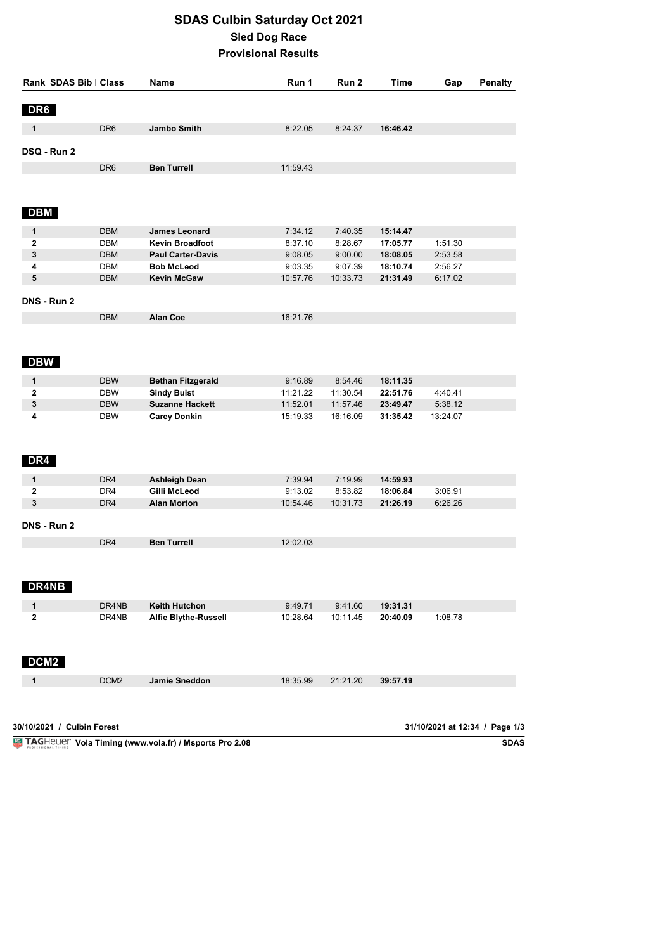## **SDAS Culbin Saturday Oct 2021 Sled Dog Race Provisional Results**

| Rank SDAS Bib   Class           |                  | Name                     | Run 1    | Run 2    | <b>Time</b> | Gap                            | <b>Penalty</b> |
|---------------------------------|------------------|--------------------------|----------|----------|-------------|--------------------------------|----------------|
| DR6                             |                  |                          |          |          |             |                                |                |
| 1                               | DR <sub>6</sub>  | Jambo Smith              | 8:22.05  | 8:24.37  | 16:46.42    |                                |                |
| DSQ - Run 2                     |                  |                          |          |          |             |                                |                |
|                                 | DR <sub>6</sub>  | <b>Ben Turrell</b>       | 11:59.43 |          |             |                                |                |
|                                 |                  |                          |          |          |             |                                |                |
| <b>DBM</b>                      |                  |                          |          |          |             |                                |                |
| 1                               | <b>DBM</b>       | <b>James Leonard</b>     | 7:34.12  | 7:40.35  | 15:14.47    |                                |                |
| 2                               | <b>DBM</b>       | <b>Kevin Broadfoot</b>   | 8:37.10  | 8:28.67  | 17:05.77    | 1:51.30                        |                |
| 3                               | <b>DBM</b>       | <b>Paul Carter-Davis</b> | 9:08.05  | 9:00.00  | 18:08.05    | 2:53.58                        |                |
| 4                               | <b>DBM</b>       | <b>Bob McLeod</b>        | 9:03.35  | 9:07.39  | 18:10.74    | 2:56.27                        |                |
| 5                               | <b>DBM</b>       | <b>Kevin McGaw</b>       | 10:57.76 | 10:33.73 | 21:31.49    | 6:17.02                        |                |
| DNS - Run 2                     |                  |                          |          |          |             |                                |                |
|                                 | <b>DBM</b>       | <b>Alan Coe</b>          | 16:21.76 |          |             |                                |                |
| <b>DBW</b>                      |                  |                          |          |          |             |                                |                |
| 1                               | <b>DBW</b>       | <b>Bethan Fitzgerald</b> | 9:16.89  | 8:54.46  | 18:11.35    |                                |                |
| 2                               | <b>DBW</b>       | <b>Sindy Buist</b>       | 11:21.22 | 11:30.54 | 22:51.76    | 4:40.41                        |                |
| 3                               | <b>DBW</b>       | <b>Suzanne Hackett</b>   | 11:52.01 | 11:57.46 | 23:49.47    | 5:38.12                        |                |
| 4<br>DR4                        | <b>DBW</b>       | <b>Carey Donkin</b>      | 15:19.33 | 16:16.09 | 31:35.42    | 13:24.07                       |                |
| $\mathbf{1}$                    | DR4              | <b>Ashleigh Dean</b>     | 7:39.94  | 7:19.99  | 14:59.93    |                                |                |
| 2                               | DR4              | Gilli McLeod             | 9:13.02  | 8:53.82  | 18:06.84    | 3:06.91                        |                |
| 3                               | DR4              | <b>Alan Morton</b>       | 10:54.46 | 10:31.73 | 21:26.19    | 6:26.26                        |                |
| DNS - Run 2                     |                  |                          |          |          |             |                                |                |
|                                 | DR4              | <b>Ben Turrell</b>       | 12:02.03 |          |             |                                |                |
| <b>DR4NB</b>                    |                  |                          |          |          |             |                                |                |
| 1                               | DR4NB            | <b>Keith Hutchon</b>     | 9:49.71  | 9:41.60  | 19:31.31    |                                |                |
| $\mathbf 2$<br>DCM <sub>2</sub> | DR4NB            | Alfie Blythe-Russell     | 10:28.64 | 10:11.45 | 20:40.09    | 1:08.78                        |                |
| 1                               | DCM <sub>2</sub> | <b>Jamie Sneddon</b>     | 18:35.99 | 21:21.20 | 39:57.19    |                                |                |
|                                 |                  |                          |          |          |             |                                |                |
| 30/10/2021 / Culbin Forest      |                  |                          |          |          |             | 31/10/2021 at 12:34 / Page 1/3 |                |

**Vola Timing (www.vola.fr) / Msports Pro 2.08** 

SDAS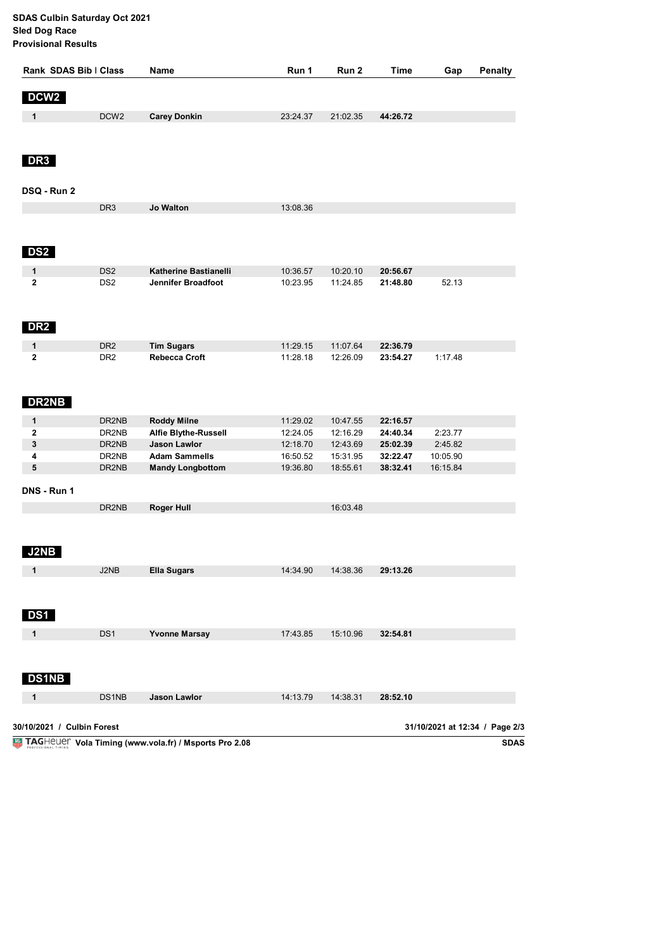**SDAS Culbin Saturday Oct 2021 Sled Dog Race Provisional Results**

| Rank SDAS Bib   Class<br><b>Name</b> |                                    |                                             | Run 1                | Run 2                | Time                 | Gap                            | <b>Penalty</b> |
|--------------------------------------|------------------------------------|---------------------------------------------|----------------------|----------------------|----------------------|--------------------------------|----------------|
| DCW <sub>2</sub>                     |                                    |                                             |                      |                      |                      |                                |                |
| $\mathbf{1}$                         | DCW <sub>2</sub>                   | <b>Carey Donkin</b>                         | 23:24.37             | 21:02.35             | 44:26.72             |                                |                |
|                                      |                                    |                                             |                      |                      |                      |                                |                |
| DR <sub>3</sub>                      |                                    |                                             |                      |                      |                      |                                |                |
| DSQ - Run 2                          |                                    |                                             |                      |                      |                      |                                |                |
|                                      | DR <sub>3</sub>                    | Jo Walton                                   | 13:08.36             |                      |                      |                                |                |
|                                      |                                    |                                             |                      |                      |                      |                                |                |
| DS <sub>2</sub>                      |                                    |                                             |                      |                      |                      |                                |                |
| 1<br>$\mathbf{2}$                    | DS <sub>2</sub><br>DS <sub>2</sub> | Katherine Bastianelli<br>Jennifer Broadfoot | 10:36.57<br>10:23.95 | 10:20.10<br>11:24.85 | 20:56.67<br>21:48.80 | 52.13                          |                |
|                                      |                                    |                                             |                      |                      |                      |                                |                |
| <b>DR2</b>                           |                                    |                                             |                      |                      |                      |                                |                |
| 1<br>$\mathbf{2}$                    | DR <sub>2</sub><br>DR <sub>2</sub> | <b>Tim Sugars</b><br><b>Rebecca Croft</b>   | 11:29.15<br>11:28.18 | 11:07.64<br>12:26.09 | 22:36.79<br>23:54.27 | 1:17.48                        |                |
| <b>DR2NB</b>                         |                                    |                                             |                      |                      |                      |                                |                |
| 1                                    | DR2NB                              | <b>Roddy Milne</b>                          | 11:29.02             | 10:47.55             | 22:16.57             |                                |                |
| 2                                    | DR2NB                              | <b>Alfie Blythe-Russell</b>                 | 12:24.05             | 12:16.29             | 24:40.34             | 2:23.77                        |                |
| 3                                    | DR2NB                              | Jason Lawlor                                | 12:18.70             | 12:43.69             | 25:02.39             | 2:45.82                        |                |
| 4<br>5                               | DR2NB                              | <b>Adam Sammells</b>                        | 16:50.52             | 15:31.95             | 32:22.47<br>38:32.41 | 10:05.90                       |                |
|                                      | DR2NB                              | <b>Mandy Longbottom</b>                     | 19:36.80             | 18:55.61             |                      | 16:15.84                       |                |
| DNS - Run 1                          |                                    |                                             |                      |                      |                      |                                |                |
|                                      | DR2NB                              | <b>Roger Hull</b>                           |                      | 16:03.48             |                      |                                |                |
| <b>J2NB</b>                          |                                    |                                             |                      |                      |                      |                                |                |
| 1                                    | J2NB                               | <b>Ella Sugars</b>                          | 14:34.90             | 14:38.36             | 29:13.26             |                                |                |
| DS1                                  |                                    |                                             |                      |                      |                      |                                |                |
| 1                                    | DS1                                | <b>Yvonne Marsay</b>                        | 17:43.85             | 15:10.96             | 32:54.81             |                                |                |
| <b>DS1NB</b>                         |                                    |                                             |                      |                      |                      |                                |                |
|                                      | DS1NB                              |                                             |                      |                      | 28:52.10             |                                |                |
| 1                                    |                                    | Jason Lawlor                                | 14:13.79             | 14:38.31             |                      |                                |                |
| 30/10/2021 / Culbin Forest           |                                    |                                             |                      |                      |                      | 31/10/2021 at 12:34 / Page 2/3 |                |
|                                      |                                    |                                             |                      |                      |                      |                                |                |

**Vola Timing (www.vola.fr) / Msports Pro 2.08**